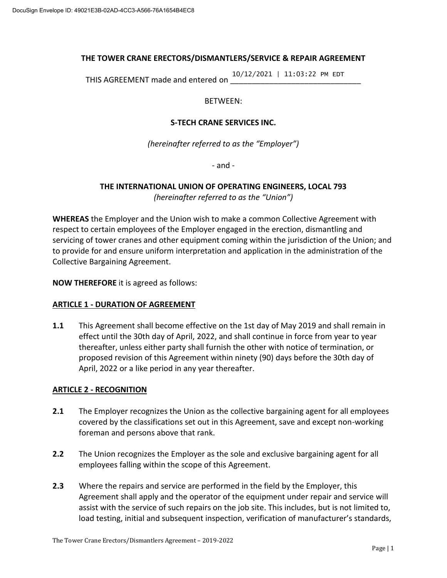#### **THE TOWER CRANE ERECTORS/DISMANTLERS/SERVICE & REPAIR AGREEMENT**

THIS AGREEMENT made and entered on 10/12/2021 | 11:03:22 PM EDT

#### BETWEEN:

#### **S-TECH CRANE SERVICES INC.**

*(hereinafter referred to as the "Employer")*

- and -

# **THE INTERNATIONAL UNION OF OPERATING ENGINEERS, LOCAL 793**

*(hereinafter referred to as the "Union")*

**WHEREAS** the Employer and the Union wish to make a common Collective Agreement with respect to certain employees of the Employer engaged in the erection, dismantling and servicing of tower cranes and other equipment coming within the jurisdiction of the Union; and to provide for and ensure uniform interpretation and application in the administration of the Collective Bargaining Agreement.

**NOW THEREFORE** it is agreed as follows:

#### **ARTICLE 1 - DURATION OF AGREEMENT**

**1.1** This Agreement shall become effective on the 1st day of May 2019 and shall remain in effect until the 30th day of April, 2022, and shall continue in force from year to year thereafter, unless either party shall furnish the other with notice of termination, or proposed revision of this Agreement within ninety (90) days before the 30th day of April, 2022 or a like period in any year thereafter.

#### **ARTICLE 2 - RECOGNITION**

- **2.1** The Employer recognizes the Union as the collective bargaining agent for all employees covered by the classifications set out in this Agreement, save and except non-working foreman and persons above that rank.
- **2.2** The Union recognizes the Employer as the sole and exclusive bargaining agent for all employees falling within the scope of this Agreement.
- **2.3** Where the repairs and service are performed in the field by the Employer, this Agreement shall apply and the operator of the equipment under repair and service will assist with the service of such repairs on the job site. This includes, but is not limited to, load testing, initial and subsequent inspection, verification of manufacturer's standards,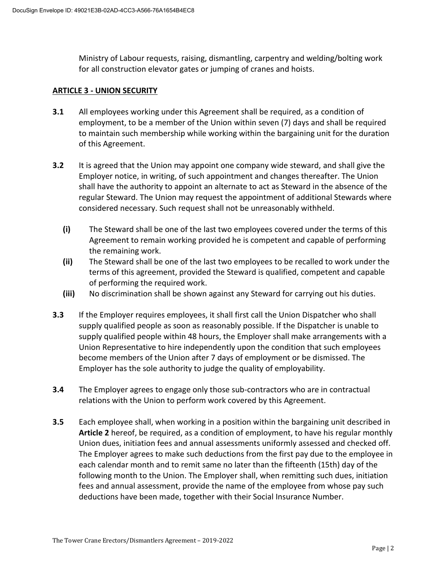Ministry of Labour requests, raising, dismantling, carpentry and welding/bolting work for all construction elevator gates or jumping of cranes and hoists.

#### **ARTICLE 3 - UNION SECURITY**

- **3.1** All employees working under this Agreement shall be required, as a condition of employment, to be a member of the Union within seven (7) days and shall be required to maintain such membership while working within the bargaining unit for the duration of this Agreement.
- **3.2** It is agreed that the Union may appoint one company wide steward, and shall give the Employer notice, in writing, of such appointment and changes thereafter. The Union shall have the authority to appoint an alternate to act as Steward in the absence of the regular Steward. The Union may request the appointment of additional Stewards where considered necessary. Such request shall not be unreasonably withheld.
	- **(i)** The Steward shall be one of the last two employees covered under the terms of this Agreement to remain working provided he is competent and capable of performing the remaining work.
	- **(ii)** The Steward shall be one of the last two employees to be recalled to work under the terms of this agreement, provided the Steward is qualified, competent and capable of performing the required work.
	- **(iii)** No discrimination shall be shown against any Steward for carrying out his duties.
- **3.3** If the Employer requires employees, it shall first call the Union Dispatcher who shall supply qualified people as soon as reasonably possible. If the Dispatcher is unable to supply qualified people within 48 hours, the Employer shall make arrangements with a Union Representative to hire independently upon the condition that such employees become members of the Union after 7 days of employment or be dismissed. The Employer has the sole authority to judge the quality of employability.
- **3.4** The Employer agrees to engage only those sub-contractors who are in contractual relations with the Union to perform work covered by this Agreement.
- **3.5** Each employee shall, when working in a position within the bargaining unit described in **Article 2** hereof, be required, as a condition of employment, to have his regular monthly Union dues, initiation fees and annual assessments uniformly assessed and checked off. The Employer agrees to make such deductions from the first pay due to the employee in each calendar month and to remit same no later than the fifteenth (15th) day of the following month to the Union. The Employer shall, when remitting such dues, initiation fees and annual assessment, provide the name of the employee from whose pay such deductions have been made, together with their Social Insurance Number.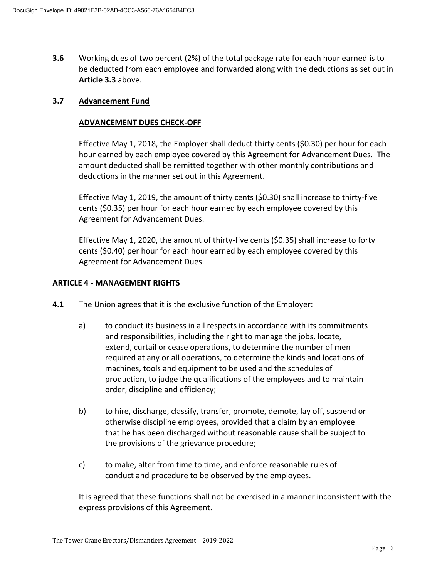**3.6** Working dues of two percent (2%) of the total package rate for each hour earned is to be deducted from each employee and forwarded along with the deductions as set out in **Article 3.3** above.

#### **3.7 Advancement Fund**

#### **ADVANCEMENT DUES CHECK-OFF**

Effective May 1, 2018, the Employer shall deduct thirty cents (\$0.30) per hour for each hour earned by each employee covered by this Agreement for Advancement Dues. The amount deducted shall be remitted together with other monthly contributions and deductions in the manner set out in this Agreement.

Effective May 1, 2019, the amount of thirty cents (\$0.30) shall increase to thirty-five cents (\$0.35) per hour for each hour earned by each employee covered by this Agreement for Advancement Dues.

Effective May 1, 2020, the amount of thirty-five cents (\$0.35) shall increase to forty cents (\$0.40) per hour for each hour earned by each employee covered by this Agreement for Advancement Dues.

#### **ARTICLE 4 - MANAGEMENT RIGHTS**

- **4.1** The Union agrees that it is the exclusive function of the Employer:
	- a) to conduct its business in all respects in accordance with its commitments and responsibilities, including the right to manage the jobs, locate, extend, curtail or cease operations, to determine the number of men required at any or all operations, to determine the kinds and locations of machines, tools and equipment to be used and the schedules of production, to judge the qualifications of the employees and to maintain order, discipline and efficiency;
	- b) to hire, discharge, classify, transfer, promote, demote, lay off, suspend or otherwise discipline employees, provided that a claim by an employee that he has been discharged without reasonable cause shall be subject to the provisions of the grievance procedure;
	- c) to make, alter from time to time, and enforce reasonable rules of conduct and procedure to be observed by the employees.

It is agreed that these functions shall not be exercised in a manner inconsistent with the express provisions of this Agreement.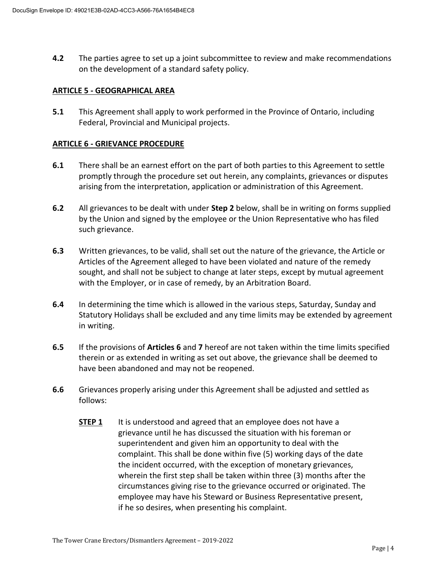**4.2** The parties agree to set up a joint subcommittee to review and make recommendations on the development of a standard safety policy.

#### **ARTICLE 5 - GEOGRAPHICAL AREA**

**5.1** This Agreement shall apply to work performed in the Province of Ontario, including Federal, Provincial and Municipal projects.

#### **ARTICLE 6 - GRIEVANCE PROCEDURE**

- **6.1** There shall be an earnest effort on the part of both parties to this Agreement to settle promptly through the procedure set out herein, any complaints, grievances or disputes arising from the interpretation, application or administration of this Agreement.
- **6.2** All grievances to be dealt with under **Step 2** below, shall be in writing on forms supplied by the Union and signed by the employee or the Union Representative who has filed such grievance.
- **6.3** Written grievances, to be valid, shall set out the nature of the grievance, the Article or Articles of the Agreement alleged to have been violated and nature of the remedy sought, and shall not be subject to change at later steps, except by mutual agreement with the Employer, or in case of remedy, by an Arbitration Board.
- **6.4** In determining the time which is allowed in the various steps, Saturday, Sunday and Statutory Holidays shall be excluded and any time limits may be extended by agreement in writing.
- **6.5** If the provisions of **Articles 6** and **7** hereof are not taken within the time limits specified therein or as extended in writing as set out above, the grievance shall be deemed to have been abandoned and may not be reopened.
- **6.6** Grievances properly arising under this Agreement shall be adjusted and settled as follows:
	- **STEP 1** It is understood and agreed that an employee does not have a grievance until he has discussed the situation with his foreman or superintendent and given him an opportunity to deal with the complaint. This shall be done within five (5) working days of the date the incident occurred, with the exception of monetary grievances, wherein the first step shall be taken within three (3) months after the circumstances giving rise to the grievance occurred or originated. The employee may have his Steward or Business Representative present, if he so desires, when presenting his complaint.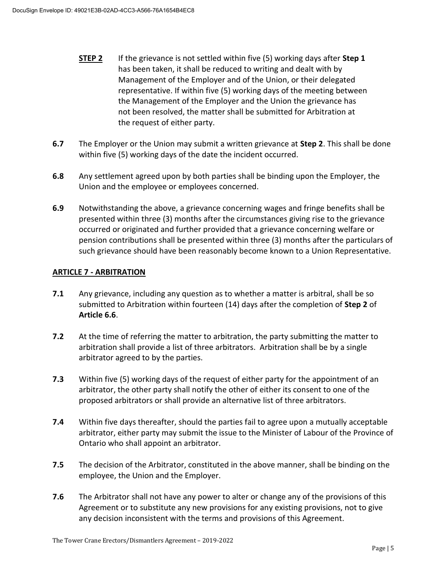- **STEP 2** If the grievance is not settled within five (5) working days after **Step 1** has been taken, it shall be reduced to writing and dealt with by Management of the Employer and of the Union, or their delegated representative. If within five (5) working days of the meeting between the Management of the Employer and the Union the grievance has not been resolved, the matter shall be submitted for Arbitration at the request of either party.
- **6.7** The Employer or the Union may submit a written grievance at **Step 2**. This shall be done within five (5) working days of the date the incident occurred.
- **6.8** Any settlement agreed upon by both parties shall be binding upon the Employer, the Union and the employee or employees concerned.
- **6.9** Notwithstanding the above, a grievance concerning wages and fringe benefits shall be presented within three (3) months after the circumstances giving rise to the grievance occurred or originated and further provided that a grievance concerning welfare or pension contributions shall be presented within three (3) months after the particulars of such grievance should have been reasonably become known to a Union Representative.

#### **ARTICLE 7 - ARBITRATION**

- **7.1** Any grievance, including any question as to whether a matter is arbitral, shall be so submitted to Arbitration within fourteen (14) days after the completion of **Step 2** of **Article 6.6**.
- **7.2** At the time of referring the matter to arbitration, the party submitting the matter to arbitration shall provide a list of three arbitrators. Arbitration shall be by a single arbitrator agreed to by the parties.
- **7.3** Within five (5) working days of the request of either party for the appointment of an arbitrator, the other party shall notify the other of either its consent to one of the proposed arbitrators or shall provide an alternative list of three arbitrators.
- **7.4** Within five days thereafter, should the parties fail to agree upon a mutually acceptable arbitrator, either party may submit the issue to the Minister of Labour of the Province of Ontario who shall appoint an arbitrator.
- **7.5** The decision of the Arbitrator, constituted in the above manner, shall be binding on the employee, the Union and the Employer.
- **7.6** The Arbitrator shall not have any power to alter or change any of the provisions of this Agreement or to substitute any new provisions for any existing provisions, not to give any decision inconsistent with the terms and provisions of this Agreement.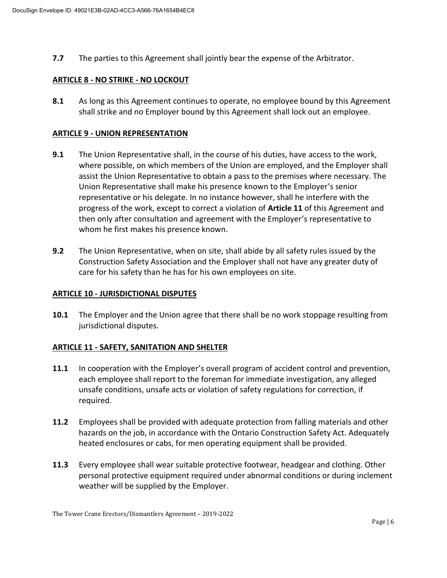**7.7** The parties to this Agreement shall jointly bear the expense of the Arbitrator.

#### **ARTICLE 8 - NO STRIKE - NO LOCKOUT**

**8.1** As long as this Agreement continues to operate, no employee bound by this Agreement shall strike and no Employer bound by this Agreement shall lock out an employee.

#### **ARTICLE 9 - UNION REPRESENTATION**

- **9.1** The Union Representative shall, in the course of his duties, have access to the work, where possible, on which members of the Union are employed, and the Employer shall assist the Union Representative to obtain a pass to the premises where necessary. The Union Representative shall make his presence known to the Employer's senior representative or his delegate. In no instance however, shall he interfere with the progress of the work, except to correct a violation of **Article 11** of this Agreement and then only after consultation and agreement with the Employer's representative to whom he first makes his presence known.
- **9.2** The Union Representative, when on site, shall abide by all safety rules issued by the Construction Safety Association and the Employer shall not have any greater duty of care for his safety than he has for his own employees on site.

#### **ARTICLE 10 - JURISDICTIONAL DISPUTES**

**10.1** The Employer and the Union agree that there shall be no work stoppage resulting from jurisdictional disputes.

#### **ARTICLE 11 - SAFETY, SANITATION AND SHELTER**

- **11.1** In cooperation with the Employer's overall program of accident control and prevention, each employee shall report to the foreman for immediate investigation, any alleged unsafe conditions, unsafe acts or violation of safety regulations for correction, if required.
- **11.2** Employees shall be provided with adequate protection from falling materials and other hazards on the job, in accordance with the Ontario Construction Safety Act. Adequately heated enclosures or cabs, for men operating equipment shall be provided.
- **11.3** Every employee shall wear suitable protective footwear, headgear and clothing. Other personal protective equipment required under abnormal conditions or during inclement weather will be supplied by the Employer.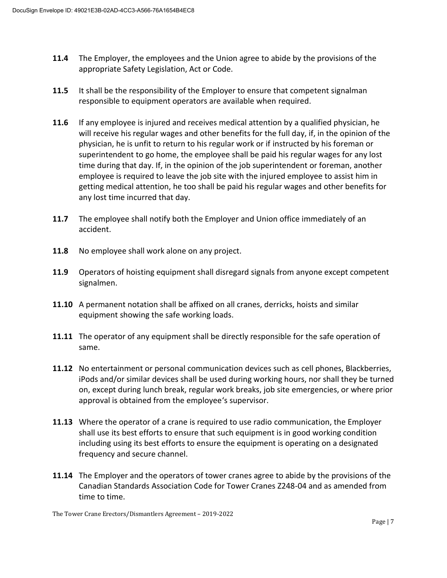- **11.4** The Employer, the employees and the Union agree to abide by the provisions of the appropriate Safety Legislation, Act or Code.
- **11.5** It shall be the responsibility of the Employer to ensure that competent signalman responsible to equipment operators are available when required.
- **11.6** If any employee is injured and receives medical attention by a qualified physician, he will receive his regular wages and other benefits for the full day, if, in the opinion of the physician, he is unfit to return to his regular work or if instructed by his foreman or superintendent to go home, the employee shall be paid his regular wages for any lost time during that day. If, in the opinion of the job superintendent or foreman, another employee is required to leave the job site with the injured employee to assist him in getting medical attention, he too shall be paid his regular wages and other benefits for any lost time incurred that day.
- **11.7** The employee shall notify both the Employer and Union office immediately of an accident.
- **11.8** No employee shall work alone on any project.
- **11.9** Operators of hoisting equipment shall disregard signals from anyone except competent signalmen.
- **11.10** A permanent notation shall be affixed on all cranes, derricks, hoists and similar equipment showing the safe working loads.
- **11.11** The operator of any equipment shall be directly responsible for the safe operation of same.
- **11.12** No entertainment or personal communication devices such as cell phones, Blackberries, iPods and/or similar devices shall be used during working hours, nor shall they be turned on, except during lunch break, regular work breaks, job site emergencies, or where prior approval is obtained from the employee's supervisor.
- **11.13** Where the operator of a crane is required to use radio communication, the Employer shall use its best efforts to ensure that such equipment is in good working condition including using its best efforts to ensure the equipment is operating on a designated frequency and secure channel.
- **11.14** The Employer and the operators of tower cranes agree to abide by the provisions of the Canadian Standards Association Code for Tower Cranes Z248-04 and as amended from time to time.

The Tower Crane Erectors/Dismantlers Agreement – 2019-2022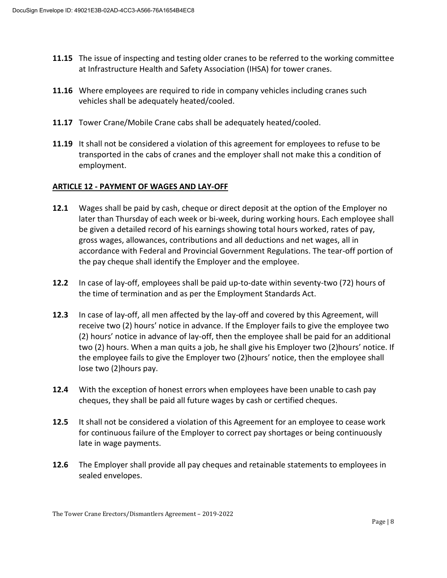- **11.15** The issue of inspecting and testing older cranes to be referred to the working committee at Infrastructure Health and Safety Association (IHSA) for tower cranes.
- **11.16** Where employees are required to ride in company vehicles including cranes such vehicles shall be adequately heated/cooled.
- **11.17** Tower Crane/Mobile Crane cabs shall be adequately heated/cooled.
- **11.19** It shall not be considered a violation of this agreement for employees to refuse to be transported in the cabs of cranes and the employer shall not make this a condition of employment.

#### **ARTICLE 12 - PAYMENT OF WAGES AND LAY-OFF**

- **12.1** Wages shall be paid by cash, cheque or direct deposit at the option of the Employer no later than Thursday of each week or bi-week, during working hours. Each employee shall be given a detailed record of his earnings showing total hours worked, rates of pay, gross wages, allowances, contributions and all deductions and net wages, all in accordance with Federal and Provincial Government Regulations. The tear-off portion of the pay cheque shall identify the Employer and the employee.
- **12.2** In case of lay-off, employees shall be paid up-to-date within seventy-two (72) hours of the time of termination and as per the Employment Standards Act.
- **12.3** In case of lay-off, all men affected by the lay-off and covered by this Agreement, will receive two (2) hours' notice in advance. If the Employer fails to give the employee two (2) hours' notice in advance of lay-off, then the employee shall be paid for an additional two (2) hours. When a man quits a job, he shall give his Employer two (2)hours' notice. If the employee fails to give the Employer two (2)hours' notice, then the employee shall lose two (2)hours pay.
- **12.4** With the exception of honest errors when employees have been unable to cash pay cheques, they shall be paid all future wages by cash or certified cheques.
- **12.5** It shall not be considered a violation of this Agreement for an employee to cease work for continuous failure of the Employer to correct pay shortages or being continuously late in wage payments.
- **12.6** The Employer shall provide all pay cheques and retainable statements to employees in sealed envelopes.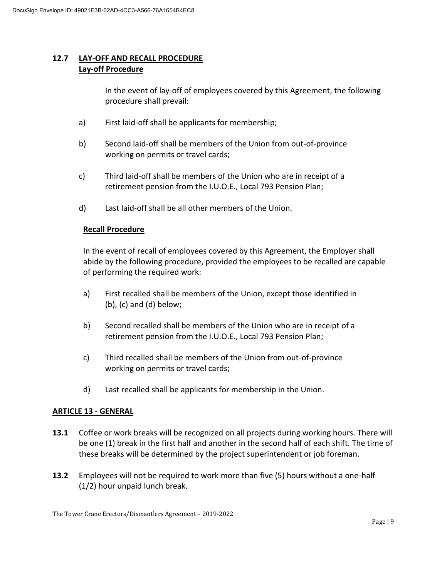### **12.7 LAY-OFF AND RECALL PROCEDURE Lay-off Procedure**

In the event of lay-off of employees covered by this Agreement, the following procedure shall prevail:

- a) First laid-off shall be applicants for membership;
- b) Second laid-off shall be members of the Union from out-of-province working on permits or travel cards;
- c) Third laid-off shall be members of the Union who are in receipt of a retirement pension from the I.U.O.E., Local 793 Pension Plan;
- d) Last laid-off shall be all other members of the Union.

#### **Recall Procedure**

In the event of recall of employees covered by this Agreement, the Employer shall abide by the following procedure, provided the employees to be recalled are capable of performing the required work:

- a) First recalled shall be members of the Union, except those identified in (b), (c) and (d) below;
- b) Second recalled shall be members of the Union who are in receipt of a retirement pension from the I.U.O.E., Local 793 Pension Plan;
- c) Third recalled shall be members of the Union from out-of-province working on permits or travel cards;
- d) Last recalled shall be applicants for membership in the Union.

#### **ARTICLE 13 - GENERAL**

- **13.1** Coffee or work breaks will be recognized on all projects during working hours. There will be one (1) break in the first half and another in the second half of each shift. The time of these breaks will be determined by the project superintendent or job foreman.
- **13.2** Employees will not be required to work more than five (5) hours without a one-half (1/2) hour unpaid lunch break.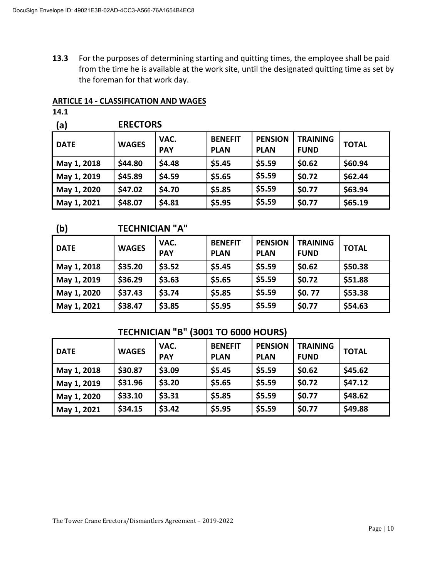**13.3** For the purposes of determining starting and quitting times, the employee shall be paid from the time he is available at the work site, until the designated quitting time as set by the foreman for that work day.

#### **ARTICLE 14 - CLASSIFICATION AND WAGES**

| 4.1 |  |
|-----|--|
|     |  |

| <b>ERECTORS</b> |  |  |
|-----------------|--|--|
|                 |  |  |

| <b>DATE</b> | <b>WAGES</b> | VAC.<br><b>PAY</b> | <b>BENEFIT</b><br><b>PLAN</b> | <b>PENSION</b><br><b>PLAN</b> | <b>TRAINING</b><br><b>FUND</b> | <b>TOTAL</b> |
|-------------|--------------|--------------------|-------------------------------|-------------------------------|--------------------------------|--------------|
| May 1, 2018 | \$44.80      | \$4.48             | \$5.45                        | \$5.59                        | \$0.62                         | \$60.94      |
| May 1, 2019 | \$45.89      | \$4.59             | \$5.65                        | \$5.59                        | \$0.72                         | \$62.44      |
| May 1, 2020 | \$47.02      | \$4.70             | \$5.85                        | \$5.59                        | \$0.77                         | \$63.94      |
| May 1, 2021 | \$48.07      | \$4.81             | \$5.95                        | \$5.59                        | \$0.77                         | \$65.19      |
|             |              |                    |                               |                               |                                |              |

#### **(b) TECHNICIAN "A"**

| <b>DATE</b> | <b>WAGES</b> | VAC.<br><b>PAY</b> | <b>BENEFIT</b><br><b>PLAN</b> | <b>PENSION</b><br><b>PLAN</b> | <b>TRAINING</b><br><b>FUND</b> | <b>TOTAL</b> |
|-------------|--------------|--------------------|-------------------------------|-------------------------------|--------------------------------|--------------|
| May 1, 2018 | \$35.20      | \$3.52             | \$5.45                        | \$5.59                        | \$0.62                         | \$50.38      |
| May 1, 2019 | \$36.29      | \$3.63             | \$5.65                        | \$5.59                        | \$0.72                         | \$51.88      |
| May 1, 2020 | \$37.43      | \$3.74             | \$5.85                        | \$5.59                        | \$0.77                         | \$53.38      |
| May 1, 2021 | \$38.47      | \$3.85             | \$5.95                        | \$5.59                        | \$0.77                         | \$54.63      |

## **TECHNICIAN "B" (3001 TO 6000 HOURS)**

| <b>DATE</b> | <b>WAGES</b> | VAC.<br><b>PAY</b> | <b>BENEFIT</b><br><b>PLAN</b> | <b>PENSION</b><br><b>PLAN</b> | <b>TRAINING</b><br><b>FUND</b> | <b>TOTAL</b> |
|-------------|--------------|--------------------|-------------------------------|-------------------------------|--------------------------------|--------------|
| May 1, 2018 | \$30.87      | \$3.09             | \$5.45                        | \$5.59                        | \$0.62                         | \$45.62      |
| May 1, 2019 | \$31.96      | \$3.20             | \$5.65                        | \$5.59                        | \$0.72                         | \$47.12      |
| May 1, 2020 | \$33.10      | \$3.31             | \$5.85                        | \$5.59                        | \$0.77                         | \$48.62      |
| May 1, 2021 | \$34.15      | \$3.42             | \$5.95                        | \$5.59                        | \$0.77                         | \$49.88      |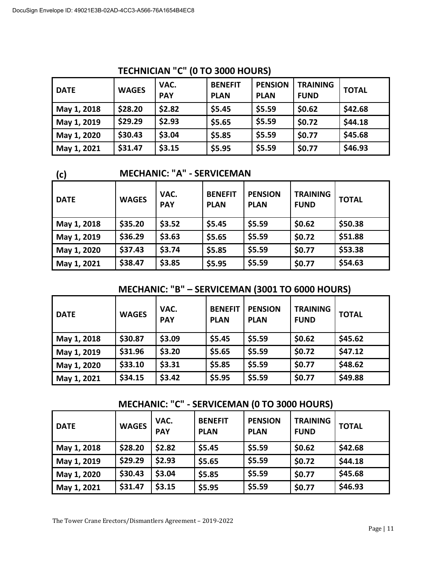| <b>DATE</b> | <b>WAGES</b> | VAC.<br><b>PAY</b> | <b>BENEFIT</b><br><b>PLAN</b> | <b>PENSION</b><br><b>PLAN</b> | <b>TRAINING</b><br><b>FUND</b> | <b>TOTAL</b> |
|-------------|--------------|--------------------|-------------------------------|-------------------------------|--------------------------------|--------------|
| May 1, 2018 | \$28.20      | \$2.82             | \$5.45                        | \$5.59                        | \$0.62                         | \$42.68      |
| May 1, 2019 | \$29.29      | \$2.93             | \$5.65                        | \$5.59                        | \$0.72                         | \$44.18      |
| May 1, 2020 | \$30.43      | \$3.04             | \$5.85                        | \$5.59                        | \$0.77                         | \$45.68      |
| May 1, 2021 | \$31.47      | \$3.15             | \$5.95                        | \$5.59                        | \$0.77                         | \$46.93      |

# **TECHNICIAN "C" (0 TO 3000 HOURS)**

**(c) MECHANIC: "A" - SERVICEMAN**

| <b>DATE</b> | <b>WAGES</b> | VAC.<br><b>PAY</b> | <b>BENEFIT</b><br><b>PLAN</b> | <b>PENSION</b><br><b>PLAN</b> | <b>TRAINING</b><br><b>FUND</b> | <b>TOTAL</b> |
|-------------|--------------|--------------------|-------------------------------|-------------------------------|--------------------------------|--------------|
| May 1, 2018 | \$35.20      | \$3.52             | \$5.45                        | \$5.59                        | \$0.62                         | \$50.38      |
| May 1, 2019 | \$36.29      | \$3.63             | \$5.65                        | \$5.59                        | \$0.72                         | \$51.88      |
| May 1, 2020 | \$37.43      | \$3.74             | \$5.85                        | \$5.59                        | \$0.77                         | \$53.38      |
| May 1, 2021 | \$38.47      | \$3.85             | \$5.95                        | \$5.59                        | \$0.77                         | \$54.63      |

# **MECHANIC: "B" – SERVICEMAN (3001 TO 6000 HOURS)**

| <b>DATE</b> | <b>WAGES</b> | VAC.<br><b>PAY</b> | <b>BENEFIT</b><br><b>PLAN</b> | <b>PENSION</b><br><b>PLAN</b> | <b>TRAINING</b><br><b>FUND</b> | <b>TOTAL</b> |
|-------------|--------------|--------------------|-------------------------------|-------------------------------|--------------------------------|--------------|
| May 1, 2018 | \$30.87      | \$3.09             | \$5.45                        | \$5.59                        | \$0.62                         | \$45.62      |
| May 1, 2019 | \$31.96      | \$3.20             | \$5.65                        | \$5.59                        | \$0.72                         | \$47.12      |
| May 1, 2020 | \$33.10      | \$3.31             | \$5.85                        | \$5.59                        | \$0.77                         | \$48.62      |
| May 1, 2021 | \$34.15      | \$3.42             | \$5.95                        | \$5.59                        | \$0.77                         | \$49.88      |

# **MECHANIC: "C" - SERVICEMAN (0 TO 3000 HOURS)**

| <b>DATE</b> | <b>WAGES</b> | VAC.<br><b>PAY</b> | <b>BENEFIT</b><br><b>PLAN</b> | <b>PENSION</b><br><b>PLAN</b> | <b>TRAINING</b><br><b>FUND</b> | <b>TOTAL</b> |
|-------------|--------------|--------------------|-------------------------------|-------------------------------|--------------------------------|--------------|
| May 1, 2018 | \$28.20      | \$2.82             | \$5.45                        | \$5.59                        | \$0.62                         | \$42.68      |
| May 1, 2019 | \$29.29      | \$2.93             | \$5.65                        | \$5.59                        | \$0.72                         | \$44.18      |
| May 1, 2020 | \$30.43      | \$3.04             | \$5.85                        | \$5.59                        | \$0.77                         | \$45.68      |
| May 1, 2021 | \$31.47      | \$3.15             | \$5.95                        | \$5.59                        | \$0.77                         | \$46.93      |

The Tower Crane Erectors/Dismantlers Agreement – 2019-2022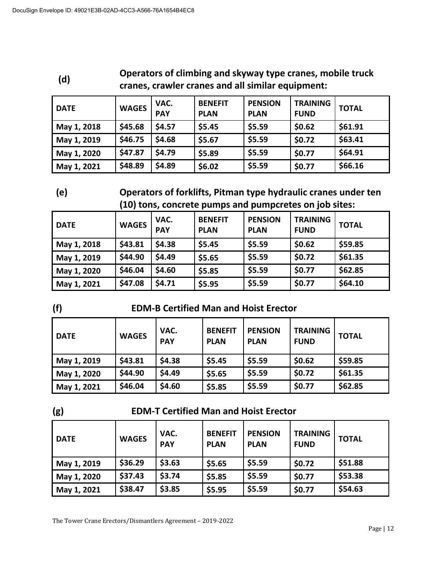| (d)         | Operators or christing and skyway type cranes, mobile truck<br>cranes, crawler cranes and all similar equipment: |                    |                               |                               |                                |              |  |  |
|-------------|------------------------------------------------------------------------------------------------------------------|--------------------|-------------------------------|-------------------------------|--------------------------------|--------------|--|--|
| <b>DATE</b> | <b>WAGES</b>                                                                                                     | VAC.<br><b>PAY</b> | <b>BENEFIT</b><br><b>PLAN</b> | <b>PENSION</b><br><b>PLAN</b> | <b>TRAINING</b><br><b>FUND</b> | <b>TOTAL</b> |  |  |
| May 1, 2018 | \$45.68                                                                                                          | \$4.57             | \$5.45                        | \$5.59                        | \$0.62                         | \$61.91      |  |  |
| May 1, 2019 | \$46.75                                                                                                          | \$4.68             | \$5.67                        | \$5.59                        | \$0.72                         | \$63.41      |  |  |
| May 1, 2020 | \$47.87                                                                                                          | \$4.79             | \$5.89                        | \$5.59                        | \$0.77                         | \$64.91      |  |  |
| May 1, 2021 | \$48.89                                                                                                          | \$4.89             | \$6.02                        | \$5.59                        | \$0.77                         | \$66.16      |  |  |

# **(d) Operators of climbing and skyway type cranes, mobile truck**

**(e) Operators of forklifts, Pitman type hydraulic cranes under ten (10) tons, concrete pumps and pumpcretes on job sites:**

| <b>DATE</b> | <b>WAGES</b> | VAC.<br><b>PAY</b> | <b>BENEFIT</b><br><b>PLAN</b> | <b>PENSION</b><br><b>PLAN</b> | <b>TRAINING</b><br><b>FUND</b> | <b>TOTAL</b> |
|-------------|--------------|--------------------|-------------------------------|-------------------------------|--------------------------------|--------------|
| May 1, 2018 | \$43.81      | \$4.38             | \$5.45                        | \$5.59                        | \$0.62                         | \$59.85      |
| May 1, 2019 | \$44.90      | \$4.49             | \$5.65                        | \$5.59                        | \$0.72                         | \$61.35      |
| May 1, 2020 | \$46.04      | \$4.60             | \$5.85                        | \$5.59                        | \$0.77                         | \$62.85      |
| May 1, 2021 | \$47.08      | \$4.71             | \$5.95                        | \$5.59                        | \$0.77                         | \$64.10      |

# **(f) EDM-B Certified Man and Hoist Erector**

| <b>DATE</b> | <b>WAGES</b> | VAC.<br><b>PAY</b> | <b>BENEFIT</b><br><b>PLAN</b> | <b>PENSION</b><br><b>PLAN</b> | <b>TRAINING</b><br><b>FUND</b> | <b>TOTAL</b> |
|-------------|--------------|--------------------|-------------------------------|-------------------------------|--------------------------------|--------------|
| May 1, 2019 | \$43.81      | \$4.38             | \$5.45                        | \$5.59                        | \$0.62                         | \$59.85      |
| May 1, 2020 | \$44.90      | \$4.49             | \$5.65                        | \$5.59                        | \$0.72                         | \$61.35      |
| May 1, 2021 | \$46.04      | \$4.60             | \$5.85                        | \$5.59                        | \$0.77                         | \$62.85      |

# **(g) EDM-T Certified Man and Hoist Erector**

| <b>DATE</b> | <b>WAGES</b> | VAC.<br><b>PAY</b> | <b>BENEFIT</b><br><b>PLAN</b> | <b>PENSION</b><br><b>PLAN</b> | <b>TRAINING</b><br><b>FUND</b> | <b>TOTAL</b> |
|-------------|--------------|--------------------|-------------------------------|-------------------------------|--------------------------------|--------------|
| May 1, 2019 | \$36.29      | \$3.63             | \$5.65                        | \$5.59                        | \$0.72                         | \$51.88      |
| May 1, 2020 | \$37.43      | \$3.74             | \$5.85                        | \$5.59                        | \$0.77                         | \$53.38      |
| May 1, 2021 | \$38.47      | \$3.85             | \$5.95                        | \$5.59                        | \$0.77                         | \$54.63      |

The Tower Crane Erectors/Dismantlers Agreement – 2019-2022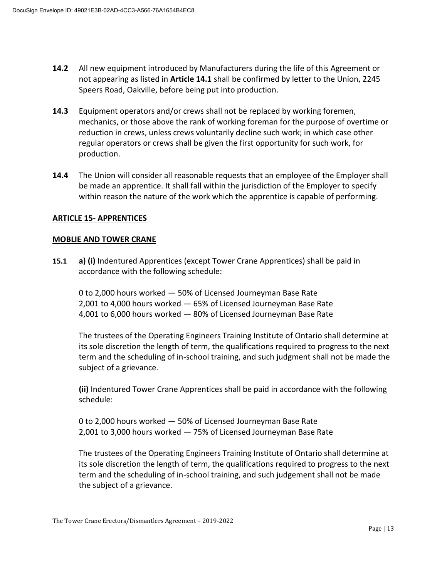- **14.2** All new equipment introduced by Manufacturers during the life of this Agreement or not appearing as listed in **Article 14.1** shall be confirmed by letter to the Union, 2245 Speers Road, Oakville, before being put into production.
- **14.3** Equipment operators and/or crews shall not be replaced by working foremen, mechanics, or those above the rank of working foreman for the purpose of overtime or reduction in crews, unless crews voluntarily decline such work; in which case other regular operators or crews shall be given the first opportunity for such work, for production.
- **14.4** The Union will consider all reasonable requests that an employee of the Employer shall be made an apprentice. It shall fall within the jurisdiction of the Employer to specify within reason the nature of the work which the apprentice is capable of performing.

#### **ARTICLE 15- APPRENTICES**

#### **MOBLIE AND TOWER CRANE**

**15.1 a) (i)** Indentured Apprentices (except Tower Crane Apprentices) shall be paid in accordance with the following schedule:

0 to 2,000 hours worked — 50% of Licensed Journeyman Base Rate 2,001 to 4,000 hours worked — 65% of Licensed Journeyman Base Rate 4,001 to 6,000 hours worked — 80% of Licensed Journeyman Base Rate

The trustees of the Operating Engineers Training Institute of Ontario shall determine at its sole discretion the length of term, the qualifications required to progress to the next term and the scheduling of in-school training, and such judgment shall not be made the subject of a grievance.

**(ii)** Indentured Tower Crane Apprentices shall be paid in accordance with the following schedule:

0 to 2,000 hours worked — 50% of Licensed Journeyman Base Rate 2,001 to 3,000 hours worked — 75% of Licensed Journeyman Base Rate

The trustees of the Operating Engineers Training Institute of Ontario shall determine at its sole discretion the length of term, the qualifications required to progress to the next term and the scheduling of in-school training, and such judgement shall not be made the subject of a grievance.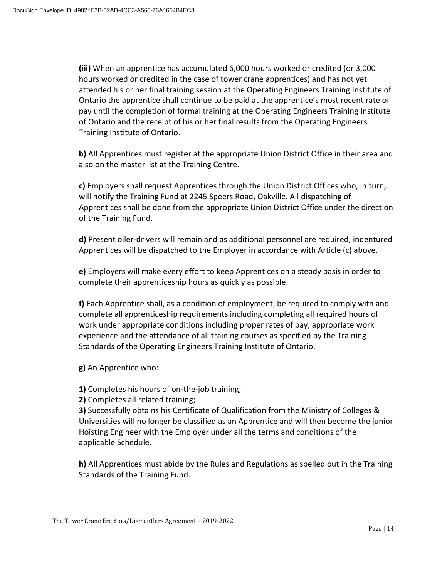**(iii)** When an apprentice has accumulated 6,000 hours worked or credited (or 3,000 hours worked or credited in the case of tower crane apprentices) and has not yet attended his or her final training session at the Operating Engineers Training Institute of Ontario the apprentice shall continue to be paid at the apprentice's most recent rate of pay until the completion of formal training at the Operating Engineers Training Institute of Ontario and the receipt of his or her final results from the Operating Engineers Training Institute of Ontario.

**b)** All Apprentices must register at the appropriate Union District Office in their area and also on the master list at the Training Centre.

**c)** Employers shall request Apprentices through the Union District Offices who, in turn, will notify the Training Fund at 2245 Speers Road, Oakville. All dispatching of Apprentices shall be done from the appropriate Union District Office under the direction of the Training Fund.

**d)** Present oiler-drivers will remain and as additional personnel are required, indentured Apprentices will be dispatched to the Employer in accordance with Article (c) above.

**e)** Employers will make every effort to keep Apprentices on a steady basis in order to complete their apprenticeship hours as quickly as possible.

**f)** Each Apprentice shall, as a condition of employment, be required to comply with and complete all apprenticeship requirements including completing all required hours of work under appropriate conditions including proper rates of pay, appropriate work experience and the attendance of all training courses as specified by the Training Standards of the Operating Engineers Training Institute of Ontario.

**g)** An Apprentice who:

**1)** Completes his hours of on-the-job training;

**2)** Completes all related training;

**3)** Successfully obtains his Certificate of Qualification from the Ministry of Colleges & Universities will no longer be classified as an Apprentice and will then become the junior Hoisting Engineer with the Employer under all the terms and conditions of the applicable Schedule.

**h)** All Apprentices must abide by the Rules and Regulations as spelled out in the Training Standards of the Training Fund.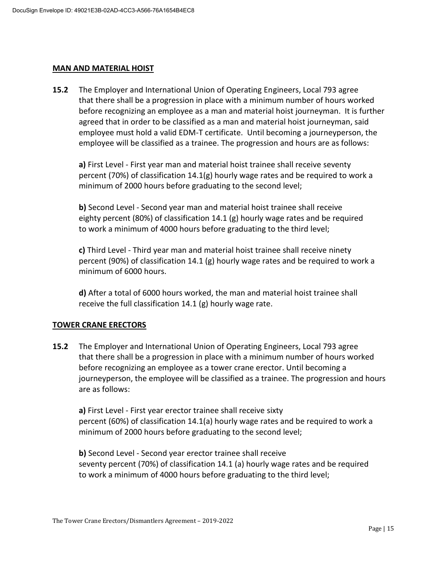#### **MAN AND MATERIAL HOIST**

**15.2** The Employer and International Union of Operating Engineers, Local 793 agree that there shall be a progression in place with a minimum number of hours worked before recognizing an employee as a man and material hoist journeyman. It is further agreed that in order to be classified as a man and material hoist journeyman, said employee must hold a valid EDM-T certificate. Until becoming a journeyperson, the employee will be classified as a trainee. The progression and hours are as follows:

**a)** First Level - First year man and material hoist trainee shall receive seventy percent (70%) of classification 14.1(g) hourly wage rates and be required to work a minimum of 2000 hours before graduating to the second level;

**b)** Second Level - Second year man and material hoist trainee shall receive eighty percent (80%) of classification 14.1 (g) hourly wage rates and be required to work a minimum of 4000 hours before graduating to the third level;

**c)** Third Level - Third year man and material hoist trainee shall receive ninety percent (90%) of classification 14.1 (g) hourly wage rates and be required to work a minimum of 6000 hours.

**d)** After a total of 6000 hours worked, the man and material hoist trainee shall receive the full classification 14.1 (g) hourly wage rate.

#### **TOWER CRANE ERECTORS**

**15.2** The Employer and International Union of Operating Engineers, Local 793 agree that there shall be a progression in place with a minimum number of hours worked before recognizing an employee as a tower crane erector. Until becoming a journeyperson, the employee will be classified as a trainee. The progression and hours are as follows:

**a)** First Level - First year erector trainee shall receive sixty percent (60%) of classification 14.1(a) hourly wage rates and be required to work a minimum of 2000 hours before graduating to the second level;

**b)** Second Level - Second year erector trainee shall receive seventy percent (70%) of classification 14.1 (a) hourly wage rates and be required to work a minimum of 4000 hours before graduating to the third level;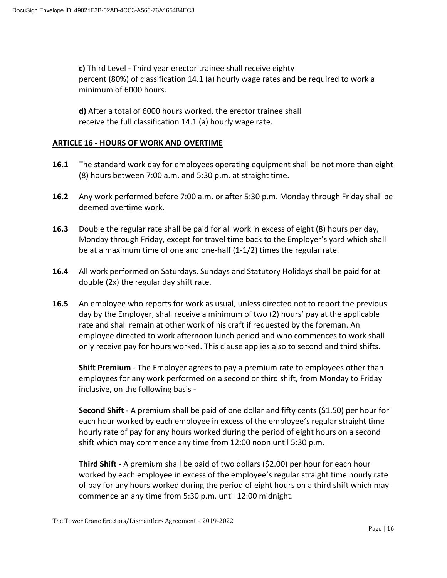**c)** Third Level - Third year erector trainee shall receive eighty percent (80%) of classification 14.1 (a) hourly wage rates and be required to work a minimum of 6000 hours.

**d)** After a total of 6000 hours worked, the erector trainee shall receive the full classification 14.1 (a) hourly wage rate.

#### **ARTICLE 16 - HOURS OF WORK AND OVERTIME**

- **16.1** The standard work day for employees operating equipment shall be not more than eight (8) hours between 7:00 a.m. and 5:30 p.m. at straight time.
- **16.2** Any work performed before 7:00 a.m. or after 5:30 p.m. Monday through Friday shall be deemed overtime work.
- **16.3** Double the regular rate shall be paid for all work in excess of eight (8) hours per day, Monday through Friday, except for travel time back to the Employer's yard which shall be at a maximum time of one and one-half (1-1/2) times the regular rate.
- **16.4** All work performed on Saturdays, Sundays and Statutory Holidays shall be paid for at double (2x) the regular day shift rate.
- **16.5** An employee who reports for work as usual, unless directed not to report the previous day by the Employer, shall receive a minimum of two (2) hours' pay at the applicable rate and shall remain at other work of his craft if requested by the foreman. An employee directed to work afternoon lunch period and who commences to work shall only receive pay for hours worked. This clause applies also to second and third shifts.

**Shift Premium** - The Employer agrees to pay a premium rate to employees other than employees for any work performed on a second or third shift, from Monday to Friday inclusive, on the following basis -

**Second Shift** - A premium shall be paid of one dollar and fifty cents (\$1.50) per hour for each hour worked by each employee in excess of the employee's regular straight time hourly rate of pay for any hours worked during the period of eight hours on a second shift which may commence any time from 12:00 noon until 5:30 p.m.

**Third Shift** - A premium shall be paid of two dollars (\$2.00) per hour for each hour worked by each employee in excess of the employee's regular straight time hourly rate of pay for any hours worked during the period of eight hours on a third shift which may commence an any time from 5:30 p.m. until 12:00 midnight.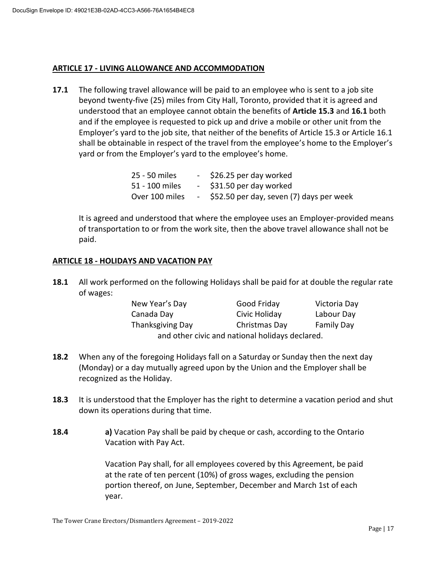#### **ARTICLE 17 - LIVING ALLOWANCE AND ACCOMMODATION**

**17.1** The following travel allowance will be paid to an employee who is sent to a job site beyond twenty-five (25) miles from City Hall, Toronto, provided that it is agreed and understood that an employee cannot obtain the benefits of **Article 15.3** and **16.1** both and if the employee is requested to pick up and drive a mobile or other unit from the Employer's yard to the job site, that neither of the benefits of Article 15.3 or Article 16.1 shall be obtainable in respect of the travel from the employee's home to the Employer's yard or from the Employer's yard to the employee's home.

| 25 - 50 miles  | - \$26.25 per day worked                   |
|----------------|--------------------------------------------|
| 51 - 100 miles | - \$31.50 per day worked                   |
| Over 100 miles | - \$52.50 per day, seven (7) days per week |

It is agreed and understood that where the employee uses an Employer-provided means of transportation to or from the work site, then the above travel allowance shall not be paid.

#### **ARTICLE 18 - HOLIDAYS AND VACATION PAY**

**18.1** All work performed on the following Holidays shall be paid for at double the regular rate of wages:

| New Year's Day                                  | Good Friday   | Victoria Day      |  |  |
|-------------------------------------------------|---------------|-------------------|--|--|
| Canada Day                                      | Civic Holiday | Labour Day        |  |  |
| <b>Thanksgiving Day</b>                         | Christmas Day | <b>Family Day</b> |  |  |
| and other civic and national holidays declared. |               |                   |  |  |

- **18.2** When any of the foregoing Holidays fall on a Saturday or Sunday then the next day (Monday) or a day mutually agreed upon by the Union and the Employer shall be recognized as the Holiday.
- **18.3** It is understood that the Employer has the right to determine a vacation period and shut down its operations during that time.
- **18.4 a)** Vacation Pay shall be paid by cheque or cash, according to the Ontario Vacation with Pay Act.

Vacation Pay shall, for all employees covered by this Agreement, be paid at the rate of ten percent (10%) of gross wages, excluding the pension portion thereof, on June, September, December and March 1st of each year.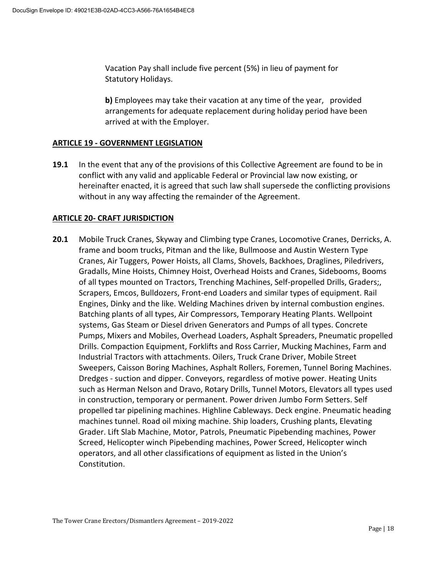Vacation Pay shall include five percent (5%) in lieu of payment for Statutory Holidays.

**b)** Employees may take their vacation at any time of the year, provided arrangements for adequate replacement during holiday period have been arrived at with the Employer.

#### **ARTICLE 19 - GOVERNMENT LEGISLATION**

**19.1** In the event that any of the provisions of this Collective Agreement are found to be in conflict with any valid and applicable Federal or Provincial law now existing, or hereinafter enacted, it is agreed that such law shall supersede the conflicting provisions without in any way affecting the remainder of the Agreement.

#### **ARTICLE 20- CRAFT JURISDICTION**

**20.1** Mobile Truck Cranes, Skyway and Climbing type Cranes, Locomotive Cranes, Derricks, A. frame and boom trucks, Pitman and the like, Bullmoose and Austin Western Type Cranes, Air Tuggers, Power Hoists, all Clams, Shovels, Backhoes, Draglines, Piledrivers, Gradalls, Mine Hoists, Chimney Hoist, Overhead Hoists and Cranes, Sidebooms, Booms of all types mounted on Tractors, Trenching Machines, Self-propelled Drills, Graders;, Scrapers, Emcos, Bulldozers, Front-end Loaders and similar types of equipment. Rail Engines, Dinky and the like. Welding Machines driven by internal combustion engines. Batching plants of all types, Air Compressors, Temporary Heating Plants. Wellpoint systems, Gas Steam or Diesel driven Generators and Pumps of all types. Concrete Pumps, Mixers and Mobiles, Overhead Loaders, Asphalt Spreaders, Pneumatic propelled Drills. Compaction Equipment, Forklifts and Ross Carrier, Mucking Machines, Farm and Industrial Tractors with attachments. Oilers, Truck Crane Driver, Mobile Street Sweepers, Caisson Boring Machines, Asphalt Rollers, Foremen, Tunnel Boring Machines. Dredges - suction and dipper. Conveyors, regardless of motive power. Heating Units such as Herman Nelson and Dravo, Rotary Drills, Tunnel Motors, Elevators all types used in construction, temporary or permanent. Power driven Jumbo Form Setters. Self propelled tar pipelining machines. Highline Cableways. Deck engine. Pneumatic heading machines tunnel. Road oil mixing machine. Ship loaders, Crushing plants, Elevating Grader. Lift Slab Machine, Motor, Patrols, Pneumatic Pipebending machines, Power Screed, Helicopter winch Pipebending machines, Power Screed, Helicopter winch operators, and all other classifications of equipment as listed in the Union's Constitution.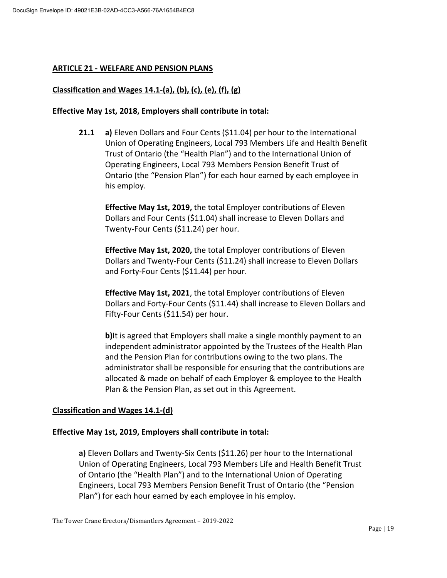#### **ARTICLE 21 - WELFARE AND PENSION PLANS**

#### **Classification and Wages 14.1-(a), (b), (c), (e), (f), (g)**

#### **Effective May 1st, 2018, Employers shall contribute in total:**

**21.1 a)** Eleven Dollars and Four Cents (\$11.04) per hour to the International Union of Operating Engineers, Local 793 Members Life and Health Benefit Trust of Ontario (the "Health Plan") and to the International Union of Operating Engineers, Local 793 Members Pension Benefit Trust of Ontario (the "Pension Plan") for each hour earned by each employee in his employ.

**Effective May 1st, 2019,** the total Employer contributions of Eleven Dollars and Four Cents (\$11.04) shall increase to Eleven Dollars and Twenty-Four Cents (\$11.24) per hour.

**Effective May 1st, 2020,** the total Employer contributions of Eleven Dollars and Twenty-Four Cents (\$11.24) shall increase to Eleven Dollars and Forty-Four Cents (\$11.44) per hour.

**Effective May 1st, 2021**, the total Employer contributions of Eleven Dollars and Forty-Four Cents (\$11.44) shall increase to Eleven Dollars and Fifty-Four Cents (\$11.54) per hour.

**b**) It is agreed that Employers shall make a single monthly payment to an independent administrator appointed by the Trustees of the Health Plan and the Pension Plan for contributions owing to the two plans. The administrator shall be responsible for ensuring that the contributions are allocated & made on behalf of each Employer & employee to the Health Plan & the Pension Plan, as set out in this Agreement.

#### **Classification and Wages 14.1-(d)**

#### **Effective May 1st, 2019, Employers shall contribute in total:**

**a)** Eleven Dollars and Twenty-Six Cents (\$11.26) per hour to the International Union of Operating Engineers, Local 793 Members Life and Health Benefit Trust of Ontario (the "Health Plan") and to the International Union of Operating Engineers, Local 793 Members Pension Benefit Trust of Ontario (the "Pension Plan") for each hour earned by each employee in his employ.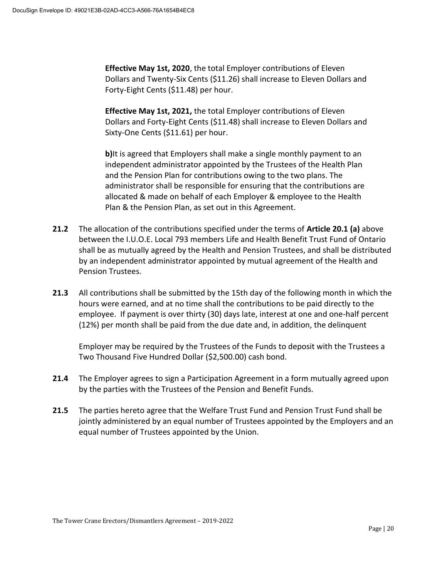**Effective May 1st, 2020**, the total Employer contributions of Eleven Dollars and Twenty-Six Cents (\$11.26) shall increase to Eleven Dollars and Forty-Eight Cents (\$11.48) per hour.

**Effective May 1st, 2021,** the total Employer contributions of Eleven Dollars and Forty-Eight Cents (\$11.48) shall increase to Eleven Dollars and Sixty-One Cents (\$11.61) per hour.

**b)**It is agreed that Employers shall make a single monthly payment to an independent administrator appointed by the Trustees of the Health Plan and the Pension Plan for contributions owing to the two plans. The administrator shall be responsible for ensuring that the contributions are allocated & made on behalf of each Employer & employee to the Health Plan & the Pension Plan, as set out in this Agreement.

- **21.2** The allocation of the contributions specified under the terms of **Article 20.1 (a)** above between the I.U.O.E. Local 793 members Life and Health Benefit Trust Fund of Ontario shall be as mutually agreed by the Health and Pension Trustees, and shall be distributed by an independent administrator appointed by mutual agreement of the Health and Pension Trustees.
- **21.3** All contributions shall be submitted by the 15th day of the following month in which the hours were earned, and at no time shall the contributions to be paid directly to the employee. If payment is over thirty (30) days late, interest at one and one-half percent (12%) per month shall be paid from the due date and, in addition, the delinquent

Employer may be required by the Trustees of the Funds to deposit with the Trustees a Two Thousand Five Hundred Dollar (\$2,500.00) cash bond.

- **21.4** The Employer agrees to sign a Participation Agreement in a form mutually agreed upon by the parties with the Trustees of the Pension and Benefit Funds.
- **21.5** The parties hereto agree that the Welfare Trust Fund and Pension Trust Fund shall be jointly administered by an equal number of Trustees appointed by the Employers and an equal number of Trustees appointed by the Union.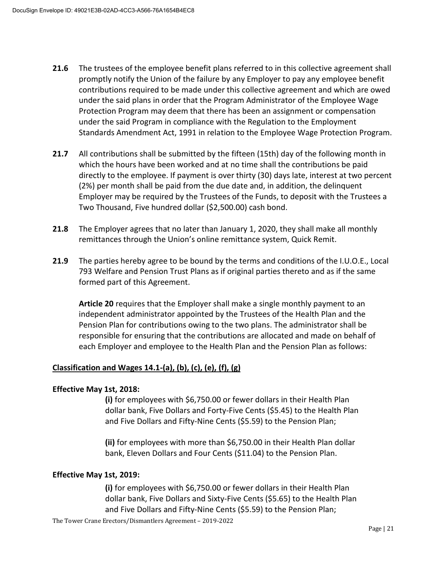- **21.6** The trustees of the employee benefit plans referred to in this collective agreement shall promptly notify the Union of the failure by any Employer to pay any employee benefit contributions required to be made under this collective agreement and which are owed under the said plans in order that the Program Administrator of the Employee Wage Protection Program may deem that there has been an assignment or compensation under the said Program in compliance with the Regulation to the Employment Standards Amendment Act, 1991 in relation to the Employee Wage Protection Program.
- **21.7** All contributions shall be submitted by the fifteen (15th) day of the following month in which the hours have been worked and at no time shall the contributions be paid directly to the employee. If payment is over thirty (30) days late, interest at two percent (2%) per month shall be paid from the due date and, in addition, the delinquent Employer may be required by the Trustees of the Funds, to deposit with the Trustees a Two Thousand, Five hundred dollar (\$2,500.00) cash bond.
- **21.8** The Employer agrees that no later than January 1, 2020, they shall make all monthly remittances through the Union's online remittance system, Quick Remit.
- **21.9** The parties hereby agree to be bound by the terms and conditions of the I.U.O.E., Local 793 Welfare and Pension Trust Plans as if original parties thereto and as if the same formed part of this Agreement.

**Article 20** requires that the Employer shall make a single monthly payment to an independent administrator appointed by the Trustees of the Health Plan and the Pension Plan for contributions owing to the two plans. The administrator shall be responsible for ensuring that the contributions are allocated and made on behalf of each Employer and employee to the Health Plan and the Pension Plan as follows:

#### **Classification and Wages 14.1-(a), (b), (c), (e), (f), (g)**

#### **Effective May 1st, 2018:**

**(i)** for employees with \$6,750.00 or fewer dollars in their Health Plan dollar bank, Five Dollars and Forty-Five Cents (\$5.45) to the Health Plan and Five Dollars and Fifty-Nine Cents (\$5.59) to the Pension Plan;

**(ii)** for employees with more than \$6,750.00 in their Health Plan dollar bank, Eleven Dollars and Four Cents (\$11.04) to the Pension Plan.

#### **Effective May 1st, 2019:**

**(i)** for employees with \$6,750.00 or fewer dollars in their Health Plan dollar bank, Five Dollars and Sixty-Five Cents (\$5.65) to the Health Plan and Five Dollars and Fifty-Nine Cents (\$5.59) to the Pension Plan;

The Tower Crane Erectors/Dismantlers Agreement – 2019-2022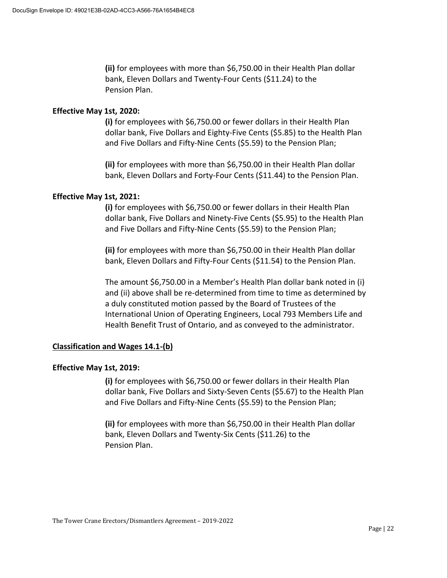**(ii)** for employees with more than \$6,750.00 in their Health Plan dollar bank, Eleven Dollars and Twenty-Four Cents (\$11.24) to the Pension Plan.

#### **Effective May 1st, 2020:**

**(i)** for employees with \$6,750.00 or fewer dollars in their Health Plan dollar bank, Five Dollars and Eighty-Five Cents (\$5.85) to the Health Plan and Five Dollars and Fifty-Nine Cents (\$5.59) to the Pension Plan;

**(ii)** for employees with more than \$6,750.00 in their Health Plan dollar bank, Eleven Dollars and Forty-Four Cents (\$11.44) to the Pension Plan.

#### **Effective May 1st, 2021:**

**(i)** for employees with \$6,750.00 or fewer dollars in their Health Plan dollar bank, Five Dollars and Ninety-Five Cents (\$5.95) to the Health Plan and Five Dollars and Fifty-Nine Cents (\$5.59) to the Pension Plan;

**(ii)** for employees with more than \$6,750.00 in their Health Plan dollar bank, Eleven Dollars and Fifty-Four Cents (\$11.54) to the Pension Plan.

The amount \$6,750.00 in a Member's Health Plan dollar bank noted in (i) and (ii) above shall be re-determined from time to time as determined by a duly constituted motion passed by the Board of Trustees of the International Union of Operating Engineers, Local 793 Members Life and Health Benefit Trust of Ontario, and as conveyed to the administrator.

#### **Classification and Wages 14.1-(b)**

#### **Effective May 1st, 2019:**

**(i)** for employees with \$6,750.00 or fewer dollars in their Health Plan dollar bank, Five Dollars and Sixty-Seven Cents (\$5.67) to the Health Plan and Five Dollars and Fifty-Nine Cents (\$5.59) to the Pension Plan;

**(ii)** for employees with more than \$6,750.00 in their Health Plan dollar bank, Eleven Dollars and Twenty-Six Cents (\$11.26) to the Pension Plan.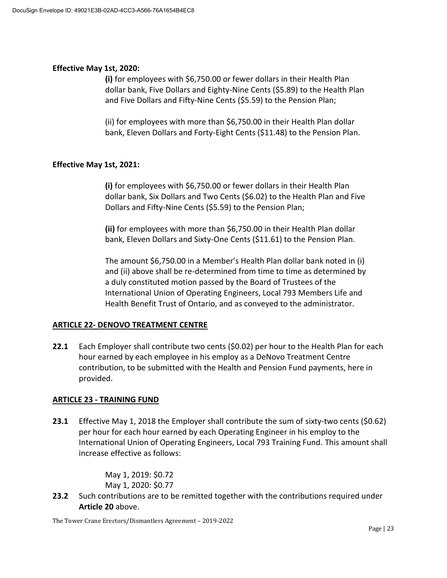#### **Effective May 1st, 2020:**

**(i)** for employees with \$6,750.00 or fewer dollars in their Health Plan dollar bank, Five Dollars and Eighty-Nine Cents (\$5.89) to the Health Plan and Five Dollars and Fifty-Nine Cents (\$5.59) to the Pension Plan;

(ii) for employees with more than \$6,750.00 in their Health Plan dollar bank, Eleven Dollars and Forty-Eight Cents (\$11.48) to the Pension Plan.

#### **Effective May 1st, 2021:**

**(i)** for employees with \$6,750.00 or fewer dollars in their Health Plan dollar bank, Six Dollars and Two Cents (\$6.02) to the Health Plan and Five Dollars and Fifty-Nine Cents (\$5.59) to the Pension Plan;

**(ii)** for employees with more than \$6,750.00 in their Health Plan dollar bank, Eleven Dollars and Sixty-One Cents (\$11.61) to the Pension Plan.

The amount \$6,750.00 in a Member's Health Plan dollar bank noted in (i) and (ii) above shall be re-determined from time to time as determined by a duly constituted motion passed by the Board of Trustees of the International Union of Operating Engineers, Local 793 Members Life and Health Benefit Trust of Ontario, and as conveyed to the administrator.

#### **ARTICLE 22- DENOVO TREATMENT CENTRE**

**22.1** Each Employer shall contribute two cents (\$0.02) per hour to the Health Plan for each hour earned by each employee in his employ as a DeNovo Treatment Centre contribution, to be submitted with the Health and Pension Fund payments, here in provided.

#### **ARTICLE 23 - TRAINING FUND**

**23.1** Effective May 1, 2018 the Employer shall contribute the sum of sixty-two cents (\$0.62) per hour for each hour earned by each Operating Engineer in his employ to the International Union of Operating Engineers, Local 793 Training Fund. This amount shall increase effective as follows:

> May 1, 2019: \$0.72 May 1, 2020: \$0.77

**23.2** Such contributions are to be remitted together with the contributions required under **Article 20** above.

The Tower Crane Erectors/Dismantlers Agreement – 2019-2022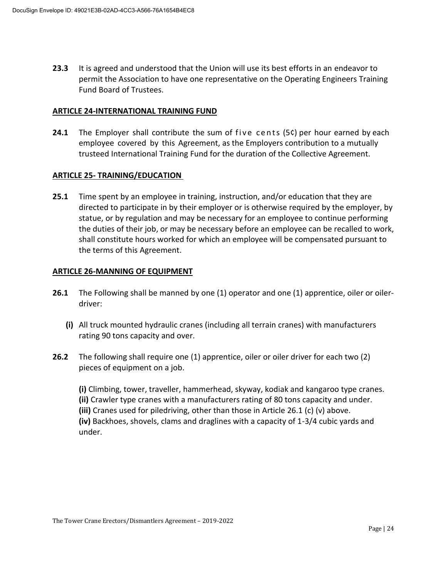**23.3** It is agreed and understood that the Union will use its best efforts in an endeavor to permit the Association to have one representative on the Operating Engineers Training Fund Board of Trustees.

#### **ARTICLE 24-INTERNATIONAL TRAINING FUND**

**24.1** The Employer shall contribute the sum of five cents (5c) per hour earned by each employee covered by this Agreement, as the Employers contribution to a mutually trusteed International Training Fund for the duration of the Collective Agreement.

#### **ARTICLE 25- TRAINING/EDUCATION**

**25.1** Time spent by an employee in training, instruction, and/or education that they are directed to participate in by their employer or is otherwise required by the employer, by statue, or by regulation and may be necessary for an employee to continue performing the duties of their job, or may be necessary before an employee can be recalled to work, shall constitute hours worked for which an employee will be compensated pursuant to the terms of this Agreement.

#### **ARTICLE 26-MANNING OF EQUIPMENT**

- **26.1** The Following shall be manned by one (1) operator and one (1) apprentice, oiler or oilerdriver:
	- **(i)** All truck mounted hydraulic cranes (including all terrain cranes) with manufacturers rating 90 tons capacity and over.
- **26.2** The following shall require one (1) apprentice, oiler or oiler driver for each two (2) pieces of equipment on a job.

**(i)** Climbing, tower, traveller, hammerhead, skyway, kodiak and kangaroo type cranes. **(ii)** Crawler type cranes with a manufacturers rating of 80 tons capacity and under. **(iii)** Cranes used for piledriving, other than those in Article 26.1 (c) (v) above. **(iv)** Backhoes, shovels, clams and draglines with a capacity of 1-3/4 cubic yards and under.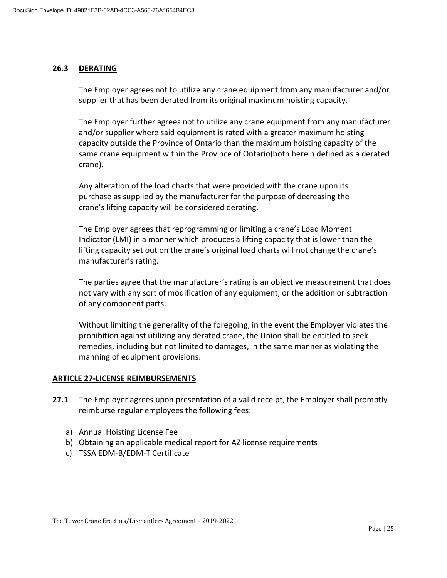#### **26.3 DERATING**

The Employer agrees not to utilize any crane equipment from any manufacturer and/or supplier that has been derated from its original maximum hoisting capacity.

The Employer further agrees not to utilize any crane equipment from any manufacturer and/or supplier where said equipment is rated with a greater maximum hoisting capacity outside the Province of Ontario than the maximum hoisting capacity of the same crane equipment within the Province of Ontario(both herein defined as a derated crane).

Any alteration of the load charts that were provided with the crane upon its purchase as supplied by the manufacturer for the purpose of decreasing the crane's lifting capacity will be considered derating.

The Employer agrees that reprogramming or limiting a crane's Load Moment Indicator (LMI) in a manner which produces a lifting capacity that is lower than the lifting capacity set out on the crane's original load charts will not change the crane's manufacturer's rating.

The parties agree that the manufacturer's rating is an objective measurement that does not vary with any sort of modification of any equipment, or the addition or subtraction of any component parts.

Without limiting the generality of the foregoing, in the event the Employer violates the prohibition against utilizing any derated crane, the Union shall be entitled to seek remedies, including but not limited to damages, in the same manner as violating the manning of equipment provisions.

#### **ARTICLE 27-LICENSE REIMBURSEMENTS**

- **27.1** The Employer agrees upon presentation of a valid receipt, the Employer shall promptly reimburse regular employees the following fees:
	- a) Annual Hoisting License Fee
	- b) Obtaining an applicable medical report for AZ license requirements
	- c) TSSA EDM-B/EDM-T Certificate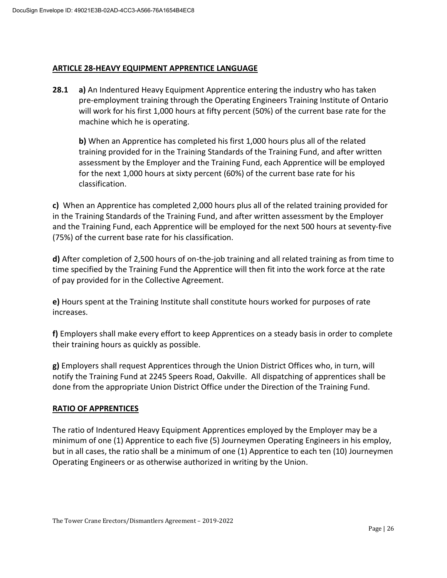#### **ARTICLE 28-HEAVY EQUIPMENT APPRENTICE LANGUAGE**

**28.1 a)** An Indentured Heavy Equipment Apprentice entering the industry who has taken pre-employment training through the Operating Engineers Training Institute of Ontario will work for his first 1,000 hours at fifty percent (50%) of the current base rate for the machine which he is operating.

**b)** When an Apprentice has completed his first 1,000 hours plus all of the related training provided for in the Training Standards of the Training Fund, and after written assessment by the Employer and the Training Fund, each Apprentice will be employed for the next 1,000 hours at sixty percent (60%) of the current base rate for his classification.

**c)** When an Apprentice has completed 2,000 hours plus all of the related training provided for in the Training Standards of the Training Fund, and after written assessment by the Employer and the Training Fund, each Apprentice will be employed for the next 500 hours at seventy-five (75%) of the current base rate for his classification.

**d)** After completion of 2,500 hours of on-the-job training and all related training as from time to time specified by the Training Fund the Apprentice will then fit into the work force at the rate of pay provided for in the Collective Agreement.

**e)** Hours spent at the Training Institute shall constitute hours worked for purposes of rate increases.

**f)** Employers shall make every effort to keep Apprentices on a steady basis in order to complete their training hours as quickly as possible.

**g)** Employers shall request Apprentices through the Union District Offices who, in turn, will notify the Training Fund at 2245 Speers Road, Oakville. All dispatching of apprentices shall be done from the appropriate Union District Office under the Direction of the Training Fund.

#### **RATIO OF APPRENTICES**

The ratio of Indentured Heavy Equipment Apprentices employed by the Employer may be a minimum of one (1) Apprentice to each five (5) Journeymen Operating Engineers in his employ, but in all cases, the ratio shall be a minimum of one (1) Apprentice to each ten (10) Journeymen Operating Engineers or as otherwise authorized in writing by the Union.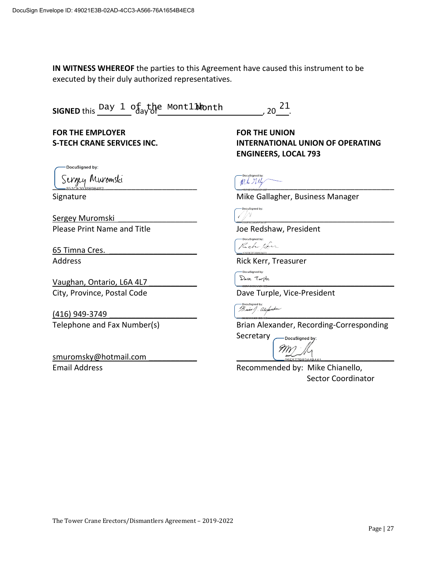**IN WITNESS WHEREOF** the parties to this Agreement have caused this instrument to be executed by their duly authorized representatives.

| SIGNED this Day 1 of the Mont11 wonth |  |  | , 20 <sup>21</sup> |
|---------------------------------------|--|--|--------------------|
|---------------------------------------|--|--|--------------------|

**FOR THE EMPLOYER FOR THE UNION**

DocuSigned by:

\_\_\_\_\_\_\_\_\_\_\_\_\_\_\_\_\_\_\_\_\_\_\_\_\_\_\_\_\_\_\_\_\_ \_\_\_\_\_\_\_\_\_\_\_\_\_\_\_\_\_\_\_\_\_\_\_\_\_\_\_\_\_\_\_\_\_\_\_\_

Sergey Muromski Please Print Name and Title Joe Redshaw, President

65 Timna Cres.  $\sqrt{a_{ch}}$ 

Vaughan, Ontario, L6A 4L7 City, Province, Postal Code Dave Turple, Vice-President

(416) 949-3749  $\begin{pmatrix} 2416 & 949-3749 \end{pmatrix}$ 

smuromsky@hotmail.com

**S-TECH CRANE SERVICES INC. INTERNATIONAL UNION OF OPERATING ENGINEERS, LOCAL 793**

Signature **Mike Gallagher, Business Manager** Mike Gallagher, Business Manager

DocuSigned by:

DocuSigned by:

Address **Address** Rick Kerr, Treasurer

)ocuSianed by:

Telephone and Fax Number(s) Telephone and Fax Number(s) Brian Alexander, Recording-Corresponding Secretary

DocuSigned by:

9M)

Email Address **Recommended by: Mike Chianello**, Sector Coordinator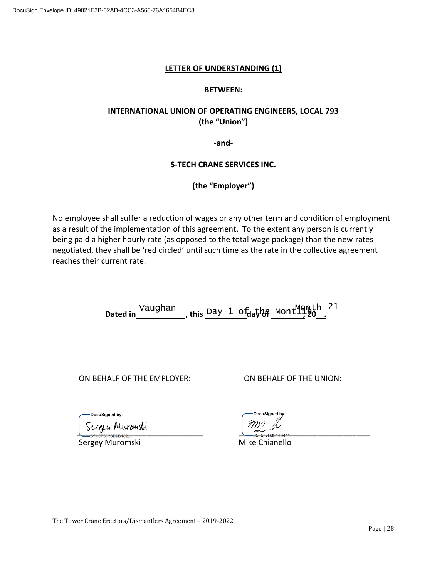#### **LETTER OF UNDERSTANDING (1)**

#### **BETWEEN:**

#### **INTERNATIONAL UNION OF OPERATING ENGINEERS, LOCAL 793 (the "Union")**

**-and-**

#### **S-TECH CRANE SERVICES INC.**

**(the "Employer")**

No employee shall suffer a reduction of wages or any other term and condition of employment as a result of the implementation of this agreement. To the extent any person is currently being paid a higher hourly rate (as opposed to the total wage package) than the new rates negotiated, they shall be 'red circled' until such time as the rate in the collective agreement reaches their current rate.

Dated in Vaughan , this Day 1 of the Mont<sup>Month 21</sup>

ON BEHALF OF THE EMPLOYER: ON BEHALF OF THE UNION:

Sunguy Muromski

Sergey Muromski Mike Chianello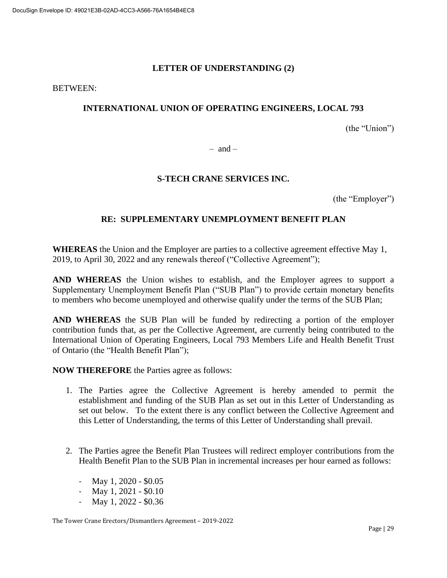#### **LETTER OF UNDERSTANDING (2)**

#### BETWEEN:

#### **INTERNATIONAL UNION OF OPERATING ENGINEERS, LOCAL 793**

(the "Union")

 $-$  and  $-$ 

#### **S-TECH CRANE SERVICES INC.**

(the "Employer")

#### **RE: SUPPLEMENTARY UNEMPLOYMENT BENEFIT PLAN**

**WHEREAS** the Union and the Employer are parties to a collective agreement effective May 1, 2019, to April 30, 2022 and any renewals thereof ("Collective Agreement");

**AND WHEREAS** the Union wishes to establish, and the Employer agrees to support a Supplementary Unemployment Benefit Plan ("SUB Plan") to provide certain monetary benefits to members who become unemployed and otherwise qualify under the terms of the SUB Plan;

**AND WHEREAS** the SUB Plan will be funded by redirecting a portion of the employer contribution funds that, as per the Collective Agreement, are currently being contributed to the International Union of Operating Engineers, Local 793 Members Life and Health Benefit Trust of Ontario (the "Health Benefit Plan");

**NOW THEREFORE** the Parties agree as follows:

- 1. The Parties agree the Collective Agreement is hereby amended to permit the establishment and funding of the SUB Plan as set out in this Letter of Understanding as set out below. To the extent there is any conflict between the Collective Agreement and this Letter of Understanding, the terms of this Letter of Understanding shall prevail.
- 2. The Parties agree the Benefit Plan Trustees will redirect employer contributions from the Health Benefit Plan to the SUB Plan in incremental increases per hour earned as follows:
	- May 1, 2020 \$0.05
	- May 1, 2021 \$0.10
	- May 1, 2022 \$0.36

The Tower Crane Erectors/Dismantlers Agreement – 2019-2022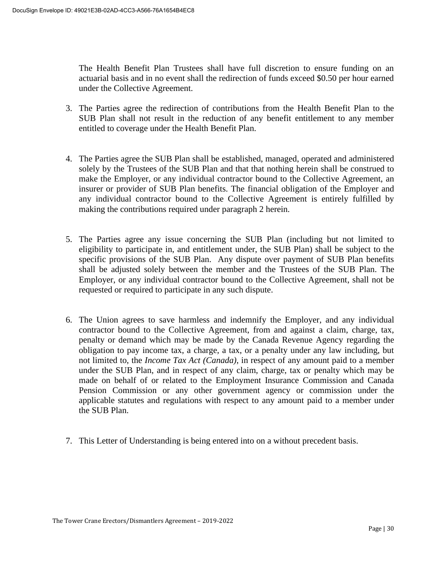The Health Benefit Plan Trustees shall have full discretion to ensure funding on an actuarial basis and in no event shall the redirection of funds exceed \$0.50 per hour earned under the Collective Agreement.

- 3. The Parties agree the redirection of contributions from the Health Benefit Plan to the SUB Plan shall not result in the reduction of any benefit entitlement to any member entitled to coverage under the Health Benefit Plan.
- 4. The Parties agree the SUB Plan shall be established, managed, operated and administered solely by the Trustees of the SUB Plan and that that nothing herein shall be construed to make the Employer, or any individual contractor bound to the Collective Agreement, an insurer or provider of SUB Plan benefits. The financial obligation of the Employer and any individual contractor bound to the Collective Agreement is entirely fulfilled by making the contributions required under paragraph 2 herein.
- 5. The Parties agree any issue concerning the SUB Plan (including but not limited to eligibility to participate in, and entitlement under, the SUB Plan) shall be subject to the specific provisions of the SUB Plan. Any dispute over payment of SUB Plan benefits shall be adjusted solely between the member and the Trustees of the SUB Plan. The Employer, or any individual contractor bound to the Collective Agreement, shall not be requested or required to participate in any such dispute.
- 6. The Union agrees to save harmless and indemnify the Employer, and any individual contractor bound to the Collective Agreement, from and against a claim, charge, tax, penalty or demand which may be made by the Canada Revenue Agency regarding the obligation to pay income tax, a charge, a tax, or a penalty under any law including, but not limited to, the *Income Tax Act (Canada)*, in respect of any amount paid to a member under the SUB Plan, and in respect of any claim, charge, tax or penalty which may be made on behalf of or related to the Employment Insurance Commission and Canada Pension Commission or any other government agency or commission under the applicable statutes and regulations with respect to any amount paid to a member under the SUB Plan.
- 7. This Letter of Understanding is being entered into on a without precedent basis.